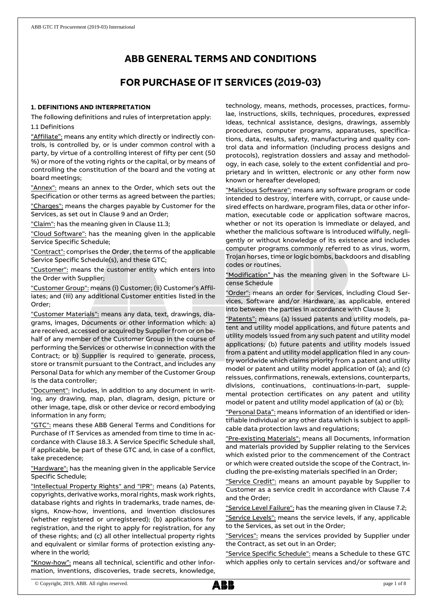# **ABB GENERAL TERMS AND CONDITIONS**

# **FOR PURCHASE OF IT SERVICES (2019-03)**

# **1. DEFINITIONS AND INTERPRETATION**

The following definitions and rules of interpretation apply: 1.1 Definitions

"Affiliate": means any entity which directly or indirectly controls, is controlled by, or is under common control with a party, by virtue of a controlling interest of fifty per cent (50 %) or more of the voting rights or the capital, or by means of controlling the constitution of the board and the voting at board meetings;

"Annex": means an annex to the Order, which sets out the Specification or other terms as agreed between the parties;

"Charges": means the charges payable by Customer for the Services, as set out in Clause 9 and an Order;

"Claim": has the meaning given in Clause 11.3;

"Cloud Software": has the meaning given in the applicable Service Specific Schedule;

"Contract": comprises the Order, the terms of the applicable Service Specific Schedule(s), and these GTC;

"Customer": means the customer entity which enters into the Order with Supplier;

"Customer Group": means (i) Customer; (ii) Customer's Affiliates; and (iii) any additional Customer entities listed in the Order;

"Customer Materials": means any data, text, drawings, diagrams, images, Documents or other information which: a) are received, accessed or acquired by Supplier from or on behalf of any member of the Customer Group in the course of performing the Services or otherwise in connection with the Contract; or b) Supplier is required to generate, process, store or transmit pursuant to the Contract, and includes any Personal Data for which any member of the Customer Group is the data controller;

"Document": includes, in addition to any document in writing, any drawing, map, plan, diagram, design, picture or other image, tape, disk or other device or record embodying information in any form;

"GTC": means these ABB General Terms and Conditions for Purchase of IT Services as amended from time to time in accordance with Clause 18.3. A Service Specific Schedule shall, if applicable, be part of these GTC and, in case of a conflict, take precedence;

"Hardware": has the meaning given in the applicable Service Specific Schedule;

"Intellectual Property Rights" and "IPR": means (a) Patents, copyrights, derivative works, moral rights, mask work rights, database rights and rights in trademarks, trade names, designs, Know-how, inventions, and invention disclosures (whether registered or unregistered); (b) applications for registration, and the right to apply for registration, for any of these rights; and (c) all other intellectual property rights and equivalent or similar forms of protection existing anywhere in the world;

"Know-how": means all technical, scientific and other information, inventions, discoveries, trade secrets, knowledge,

technology, means, methods, processes, practices, formulae, instructions, skills, techniques, procedures, expressed ideas, technical assistance, designs, drawings, assembly procedures, computer programs, apparatuses, specifications, data, results, safety, manufacturing and quality control data and information (including process designs and protocols), registration dossiers and assay and methodology, in each case, solely to the extent confidential and proprietary and in written, electronic or any other form now known or hereafter developed;

"Malicious Software": means any software program or code intended to destroy, interfere with, corrupt, or cause undesired effects on hardware, program files, data or other information, executable code or application software macros, whether or not its operation is immediate or delayed, and whether the malicious software is introduced wilfully, negligently or without knowledge of its existence and includes computer programs commonly referred to as virus, worm, Trojan horses, time or logic bombs, backdoors and disabling codes or routines.

"Modification" has the meaning given in the Software License Schedule

"Order": means an order for Services, including Cloud Services, Software and/or Hardware, as applicable, entered into between the parties in accordance with Clause 3;

"Patents": means (a) issued patents and utility models, patent and utility model applications, and future patents and utility models issued from any such patent and utility model applications; (b) future patents and utility models issued from a patent and utility model application filed in any country worldwide which claims priority from a patent and utility model or patent and utility model application of (a); and (c) reissues, confirmations, renewals, extensions, counterparts, divisions, continuations, continuations-in-part, supplemental protection certificates on any patent and utility model or patent and utility model application of (a) or (b);

"Personal Data": means information of an identified or identifiable individual or any other data which is subject to applicable data protection laws and regulations;

"Pre-existing Materials": means all Documents, information and materials provided by Supplier relating to the Services which existed prior to the commencement of the Contract or which were created outside the scope of the Contract, including the pre-existing materials specified in an Order;

"Service Credit": means an amount payable by Supplier to Customer as a service credit in accordance with Clause 7.4 and the Order;

"Service Level Failure": has the meaning given in Clause 7.2; "Service Levels": means the service levels, if any, applicable to the Services, as set out in the Order;

"Services": means the services provided by Supplier under the Contract, as set out in an Order;

"Service Specific Schedule": means a Schedule to these GTC which applies only to certain services and/or software and

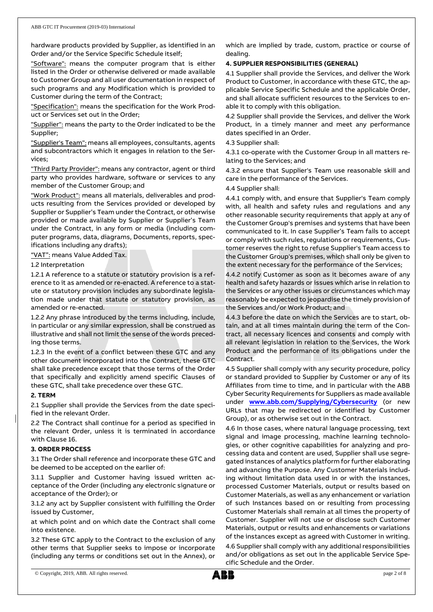hardware products provided by Supplier, as identified in an Order and/or the Service Specific Schedule itself;

"Software": means the computer program that is either listed in the Order or otherwise delivered or made available to Customer Group and all user documentation in respect of such programs and any Modification which is provided to Customer during the term of the Contract;

"Specification": means the specification for the Work Product or Services set out in the Order;

"Supplier": means the party to the Order indicated to be the Supplier;

"Supplier's Team": means all employees, consultants, agents and subcontractors which it engages in relation to the Services;

"Third Party Provider": means any contractor, agent or third party who provides hardware, software or services to any member of the Customer Group; and

"Work Product": means all materials, deliverables and products resulting from the Services provided or developed by Supplier or Supplier's Team under the Contract, or otherwise provided or made available by Supplier or Supplier's Team under the Contract, in any form or media (including computer programs, data, diagrams, Documents, reports, specifications including any drafts);

"VAT": means Value Added Tax.

## 1.2 Interpretation

1.2.1 A reference to a statute or statutory provision is a reference to it as amended or re-enacted. A reference to a statute or statutory provision includes any subordinate legislation made under that statute or statutory provision, as amended or re-enacted.

1.2.2 Any phrase introduced by the terms including, include, in particular or any similar expression, shall be construed as illustrative and shall not limit the sense of the words preceding those terms.

1.2.3 In the event of a conflict between these GTC and any other document incorporated into the Contract, these GTC shall take precedence except that those terms of the Order that specifically and explicitly amend specific Clauses of these GTC, shall take precedence over these GTC.

## **2. TERM**

2.1 Supplier shall provide the Services from the date specified in the relevant Order.

2.2 The Contract shall continue for a period as specified in the relevant Order, unless it is terminated in accordance with Clause 16.

# **3. ORDER PROCESS**

3.1 The Order shall reference and incorporate these GTC and be deemed to be accepted on the earlier of:

3.1.1 Supplier and Customer having issued written acceptance of the Order (including any electronic signature or acceptance of the Order); or

3.1.2 any act by Supplier consistent with fulfilling the Order issued by Customer,

at which point and on which date the Contract shall come into existence.

3.2 These GTC apply to the Contract to the exclusion of any other terms that Supplier seeks to impose or incorporate (including any terms or conditions set out in the Annex), or which are implied by trade, custom, practice or course of dealing.

# **4. SUPPLIER RESPONSIBILITIES (GENERAL)**

4.1 Supplier shall provide the Services, and deliver the Work Product to Customer, in accordance with these GTC, the applicable Service Specific Schedule and the applicable Order, and shall allocate sufficient resources to the Services to enable it to comply with this obligation.

4.2 Supplier shall provide the Services, and deliver the Work Product, in a timely manner and meet any performance dates specified in an Order.

## 4.3 Supplier shall:

4.3.1 co-operate with the Customer Group in all matters relating to the Services; and

4.3.2 ensure that Supplier's Team use reasonable skill and care in the performance of the Services.

4.4 Supplier shall:

4.4.1 comply with, and ensure that Supplier's Team comply with, all health and safety rules and regulations and any other reasonable security requirements that apply at any of the Customer Group's premises and systems that have been communicated to it. In case Supplier's Team fails to accept or comply with such rules, regulations or requirements, Customer reserves the right to refuse Supplier's Team access to the Customer Group's premises, which shall only be given to the extent necessary for the performance of the Services;

4.4.2 notify Customer as soon as it becomes aware of any health and safety hazards or issues which arise in relation to the Services or any other issues or circumstances which may reasonably be expected to jeopardise the timely provision of the Services and/or Work Product; and

4.4.3 before the date on which the Services are to start, obtain, and at all times maintain during the term of the Contract, all necessary licences and consents and comply with all relevant legislation in relation to the Services, the Work Product and the performance of its obligations under the Contract.

4.5 Supplier shall comply with any security procedure, policy or standard provided to Supplier by Customer or any of its Affiliates from time to time, and in particular with the ABB Cyber Security Requirements for Suppliers as made available under **[www.abb.com/Supplying/Cybersecurity](http://www.abb.com/Supplying/Cybersecurity)** (or new URLs that may be redirected or identified by Customer Group), or as otherwise set out in the Contract.

4.6 In those cases, where natural language processing, text signal and image processing, machine learning technologies, or other cognitive capabilities for analyzing and processing data and content are used, Supplier shall use segregated instances of analytics platform for further elaborating and advancing the Purpose. Any Customer Materials including without limitation data used in or with the instances, processed Customer Materials, output or results based on Customer Materials, as well as any enhancement or variation of such Instances based on or resulting from processing Customer Materials shall remain at all times the property of Customer. Supplier will not use or disclose such Customer Materials, output or results and enhancements or variations of the instances except as agreed with Customer in writing. 4.6 Supplier shall comply with any additional responsibilities and/or obligations as set out in the applicable Service Specific Schedule and the Order.

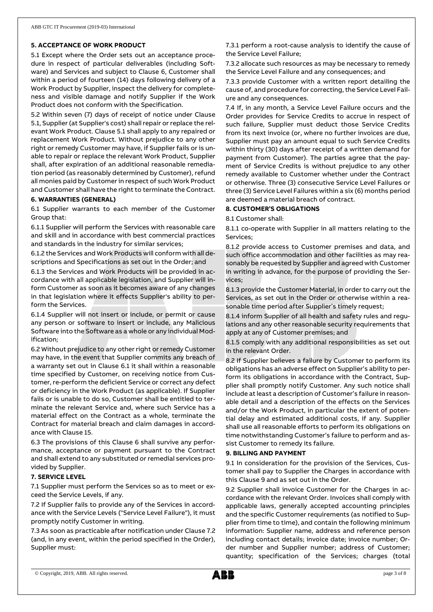## **5. ACCEPTANCE OF WORK PRODUCT**

5.1 Except where the Order sets out an acceptance procedure in respect of particular deliverables (including Software) and Services and subject to Clause 6, Customer shall within a period of fourteen (14) days following delivery of a Work Product by Supplier, inspect the delivery for completeness and visible damage and notify Supplier if the Work Product does not conform with the Specification.

5.2 Within seven (7) days of receipt of notice under Clause 5.1, Supplier (at Supplier's cost) shall repair or replace the relevant Work Product. Clause 5.1 shall apply to any repaired or replacement Work Product. Without prejudice to any other right or remedy Customer may have, if Supplier fails or is unable to repair or replace the relevant Work Product, Supplier shall, after expiration of an additional reasonable remediation period (as reasonably determined by Customer), refund all monies paid by Customer in respect of such Work Product and Customer shall have the right to terminate the Contract.

### **6. WARRANTIES (GENERAL)**

6.1 Supplier warrants to each member of the Customer Group that:

6.1.1 Supplier will perform the Services with reasonable care and skill and in accordance with best commercial practices and standards in the industry for similar services;

6.1.2 the Services and Work Products will conform with all descriptions and Specifications as set out in the Order; and

6.1.3 the Services and Work Products will be provided in accordance with all applicable legislation, and Supplier will inform Customer as soon as it becomes aware of any changes in that legislation where it effects Supplier's ability to perform the Services.

6.1.4 Supplier will not insert or include, or permit or cause any person or software to insert or include, any Malicious Software into the Software as a whole or any individual Modification;

6.2 Without prejudice to any other right or remedy Customer may have, in the event that Supplier commits any breach of a warranty set out in Clause 6.1 it shall within a reasonable time specified by Customer, on receiving notice from Customer, re-perform the deficient Service or correct any defect or deficiency in the Work Product (as applicable). If Supplier fails or is unable to do so, Customer shall be entitled to terminate the relevant Service and, where such Service has a material effect on the Contract as a whole, terminate the Contract for material breach and claim damages in accordance with Clause 15.

6.3 The provisions of this Clause 6 shall survive any performance, acceptance or payment pursuant to the Contract and shall extend to any substituted or remedial services provided by Supplier.

#### **7. SERVICE LEVEL**

7.1 Supplier must perform the Services so as to meet or exceed the Service Levels, if any.

7.2 If Supplier fails to provide any of the Services in accordance with the Service Levels ("Service Level Failure"), it must promptly notify Customer in writing.

7.3 As soon as practicable after notification under Clause 7.2 (and, in any event, within the period specified in the Order), Supplier must:

7.3.1 perform a root-cause analysis to identify the cause of the Service Level Failure;

7.3.2 allocate such resources as may be necessary to remedy the Service Level Failure and any consequences; and

7.3.3 provide Customer with a written report detailing the cause of, and procedure for correcting, the Service Level Failure and any consequences.

7.4 If, in any month, a Service Level Failure occurs and the Order provides for Service Credits to accrue in respect of such failure, Supplier must deduct those Service Credits from its next invoice (or, where no further invoices are due, Supplier must pay an amount equal to such Service Credits within thirty (30) days after receipt of a written demand for payment from Customer). The parties agree that the payment of Service Credits is without prejudice to any other remedy available to Customer whether under the Contract or otherwise. Three (3) consecutive Service Level Failures or three (3) Service Level Failures within a six (6) months period are deemed a material breach of contract.

### **8. CUSTOMER'S OBLIGATIONS**

8.1 Customer shall:

8.1.1 co-operate with Supplier in all matters relating to the Services;

8.1.2 provide access to Customer premises and data, and such office accommodation and other facilities as may reasonably be requested by Supplier and agreed with Customer in writing in advance, for the purpose of providing the Services;

8.1.3 provide the Customer Material, in order to carry out the Services, as set out in the Order or otherwise within a reasonable time period after Supplier's timely request;

8.1.4 inform Supplier of all health and safety rules and regulations and any other reasonable security requirements that apply at any of Customer premises; and

8.1.5 comply with any additional responsibilities as set out in the relevant Order.

8.2 If Supplier believes a failure by Customer to perform its obligations has an adverse effect on Supplier's ability to perform its obligations in accordance with the Contract, Supplier shall promptly notify Customer. Any such notice shall include at least a description of Customer's failure in reasonable detail and a description of the effects on the Services and/or the Work Product, in particular the extent of potential delay and estimated additional costs, if any. Supplier shall use all reasonable efforts to perform its obligations on time notwithstanding Customer's failure to perform and assist Customer to remedy its failure.

## **9. BILLING AND PAYMENT**

9.1 In consideration for the provision of the Services, Customer shall pay to Supplier the Charges in accordance with this Clause 9 and as set out in the Order.

9.2 Supplier shall invoice Customer for the Charges in accordance with the relevant Order. Invoices shall comply with applicable laws, generally accepted accounting principles and the specific Customer requirements (as notified to Supplier from time to time), and contain the following minimum information: Supplier name, address and reference person including contact details; invoice date; invoice number; Order number and Supplier number; address of Customer; quantity; specification of the Services; charges (total

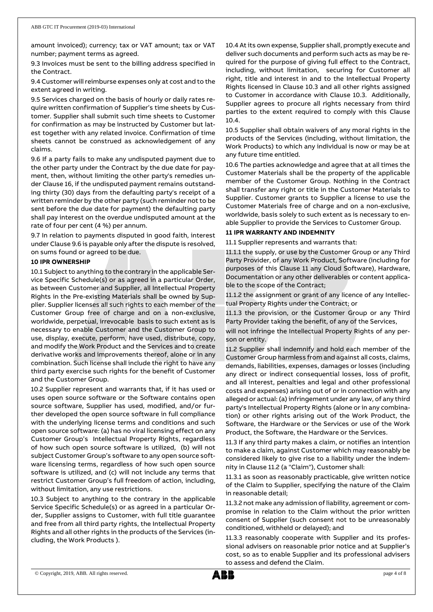amount invoiced); currency; tax or VAT amount; tax or VAT number; payment terms as agreed.

9.3 Invoices must be sent to the billing address specified in the Contract.

9.4 Customer will reimburse expenses only at cost and to the extent agreed in writing.

9.5 Services charged on the basis of hourly or daily rates require written confirmation of Supplier's time sheets by Customer. Supplier shall submit such time sheets to Customer for confirmation as may be instructed by Customer but latest together with any related invoice. Confirmation of time sheets cannot be construed as acknowledgement of any claims.

9.6 If a party fails to make any undisputed payment due to the other party under the Contract by the due date for payment, then, without limiting the other party's remedies under Clause 16, if the undisputed payment remains outstanding thirty (30) days from the defaulting party's receipt of a written reminder by the other party (such reminder not to be sent before the due date for payment) the defaulting party shall pay interest on the overdue undisputed amount at the rate of four per cent (4 %) per annum.

9.7 In relation to payments disputed in good faith, interest under Clause 9.6 is payable only after the dispute is resolved, on sums found or agreed to be due.

#### **10 IPR OWNERSHIP**

10.1 Subject to anything to the contrary in the applicable Service Specific Schedule(s) or as agreed in a particular Order, as between Customer and Supplier, all Intellectual Property Rights in the Pre-existing Materials shall be owned by Supplier. Supplier licenses all such rights to each member of the Customer Group free of charge and on a non-exclusive, worldwide, perpetual, irrevocable basis to such extent as is necessary to enable Customer and the Customer Group to use, display, execute, perform, have used, distribute, copy, and modify the Work Product and the Services and to create derivative works and improvements thereof, alone or in any combination. Such license shall include the right to have any third party exercise such rights for the benefit of Customer and the Customer Group.

10.2 Supplier represent and warrants that, if it has used or uses open source software or the Software contains open source software, Supplier has used, modified, and/or further developed the open source software in full compliance with the underlying license terms and conditions and such open source software: (a) has no viral licensing effect on any Customer Group's Intellectual Property Rights, regardless of how such open source software is utilized, (b) will not subject Customer Group's software to any open source software licensing terms, regardless of how such open source software is utilized, and (c) will not include any terms that restrict Customer Group's full freedom of action, including, without limitation, any use restrictions.

10.3 Subject to anything to the contrary in the applicable Service Specific Schedule(s) or as agreed in a particular Order, Supplier assigns to Customer, with full title guarantee and free from all third party rights, the Intellectual Property Rights and all other rights in the products of the Services (including, the Work Products ).

10.4 At its own expense, Supplier shall, promptly execute and deliver such documents and perform such acts as may be required for the purpose of giving full effect to the Contract, including, without limitation, securing for Customer all right, title and interest in and to the Intellectual Property Rights licensed in Clause 10.3 and all other rights assigned to Customer in accordance with Clause 10.3. Additionally, Supplier agrees to procure all rights necessary from third parties to the extent required to comply with this Clause 10.4.

10.5 Supplier shall obtain waivers of any moral rights in the products of the Services (including, without limitation, the Work Products) to which any individual is now or may be at any future time entitled.

10.6 The parties acknowledge and agree that at all times the Customer Materials shall be the property of the applicable member of the Customer Group. Nothing in the Contract shall transfer any right or title in the Customer Materials to Supplier. Customer grants to Supplier a license to use the Customer Materials free of charge and on a non-exclusive, worldwide, basis solely to such extent as is necessary to enable Supplier to provide the Services to Customer Group.

#### **11 IPR WARRANTY AND INDEMNITY**

11.1 Supplier represents and warrants that:

11.1.1 the supply, or use by the Customer Group or any Third Party Provider, of any Work Product, Software (including for purposes of this Clause 11 any Cloud Software), Hardware, Documentation or any other deliverables or content applicable to the scope of the Contract;

11.1.2 the assignment or grant of any licence of any Intellectual Property Rights under the Contract; or

11.1.3 the provision, or the Customer Group or any Third Party Provider taking the benefit, of any of the Services,

will not infringe the Intellectual Property Rights of any person or entity.

11.2 Supplier shall indemnify and hold each member of the Customer Group harmless from and against all costs, claims, demands, liabilities, expenses, damages or losses (including any direct or indirect consequential losses, loss of profit, and all interest, penalties and legal and other professional costs and expenses) arising out of or in connection with any alleged or actual: (a) infringement under any law, of any third party's Intellectual Property Rights (alone or in any combination) or other rights arising out of the Work Product, the Software, the Hardware or the Services or use of the Work Product, the Software, the Hardware or the Services.

11.3 If any third party makes a claim, or notifies an intention to make a claim, against Customer which may reasonably be considered likely to give rise to a liability under the indemnity in Clause 11.2 (a "Claim"), Customer shall:

11.3.1 as soon as reasonably practicable, give written notice of the Claim to Supplier, specifying the nature of the Claim in reasonable detail;

11.3.2 not make any admission of liability, agreement or compromise in relation to the Claim without the prior written consent of Supplier (such consent not to be unreasonably conditioned, withheld or delayed); and

11.3.3 reasonably cooperate with Supplier and its professional advisers on reasonable prior notice and at Supplier's cost, so as to enable Supplier and its professional advisers to assess and defend the Claim.

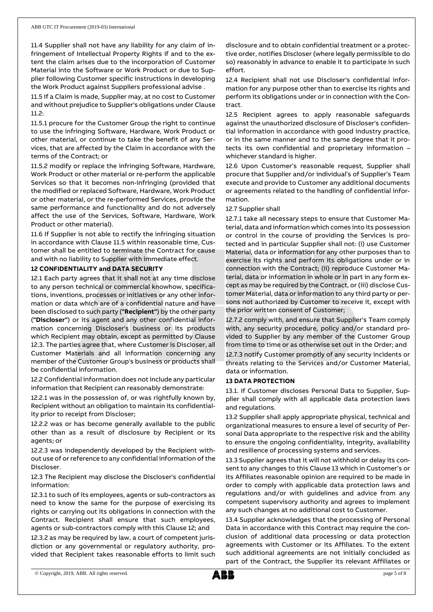11.4 Supplier shall not have any liability for any claim of infringement of Intellectual Property Rights if and to the extent the claim arises due to the incorporation of Customer Material into the Software or Work Product or due to Supplier following Customer specific instructions in developing the Work Product against Suppliers professional advise .

11.5 If a Claim is made, Supplier may, at no cost to Customer and without prejudice to Supplier's obligations under Clause 11.2:

11.5.1 procure for the Customer Group the right to continue to use the infringing Software, Hardware, Work Product or other material, or continue to take the benefit of any Services, that are affected by the Claim in accordance with the terms of the Contract; or

11.5.2 modify or replace the infringing Software, Hardware, Work Product or other material or re-perform the applicable Services so that it becomes non-infringing (provided that the modified or replaced Software, Hardware, Work Product or other material, or the re-performed Services, provide the same performance and functionality and do not adversely affect the use of the Services, Software, Hardware, Work Product or other material).

11.6 If Supplier is not able to rectify the infringing situation in accordance with Clause 11.5 within reasonable time, Customer shall be entitled to terminate the Contract for cause and with no liability to Supplier with immediate effect.

## **12 CONFIDENTIALITY and DATA SECURITY**

12.1 Each party agrees that it shall not at any time disclose to any person technical or commercial knowhow, specifications, inventions, processes or initiatives or any other information or data which are of a confidential nature and have been disclosed to such party (**"Recipient"**) by the other party (**"Discloser"**) or its agent and any other confidential information concerning Discloser's business or its products which Recipient may obtain, except as permitted by Clause 12.3. The parties agree that, where Customer is Discloser, all Customer Materials and all information concerning any member of the Customer Group's business or products shall be confidential information.

12.2 Confidential information does not include any particular information that Recipient can reasonably demonstrate:

12.2.1 was in the possession of, or was rightfully known by, Recipient without an obligation to maintain its confidentiality prior to receipt from Discloser;

12.2.2 was or has become generally available to the public other than as a result of disclosure by Recipient or its agents; or

12.2.3 was independently developed by the Recipient without use of or reference to any confidential information of the Discloser.

12.3 The Recipient may disclose the Discloser's confidential information:

12.3.1 to such of its employees, agents or sub-contractors as need to know the same for the purpose of exercising its rights or carrying out its obligations in connection with the Contract. Recipient shall ensure that such employees, agents or sub-contractors comply with this Clause 12; and

12.3.2 as may be required by law, a court of competent jurisdiction or any governmental or regulatory authority, provided that Recipient takes reasonable efforts to limit such disclosure and to obtain confidential treatment or a protective order, notifies Discloser (where legally permissible to do so) reasonably in advance to enable it to participate in such effort.

12.4 Recipient shall not use Discloser's confidential information for any purpose other than to exercise its rights and perform its obligations under or in connection with the Contract.

12.5 Recipient agrees to apply reasonable safeguards against the unauthorized disclosure of Discloser's confidential information in accordance with good industry practice, or in the same manner and to the same degree that it protects its own confidential and proprietary information – whichever standard is higher.

12.6 Upon Customer's reasonable request, Supplier shall procure that Supplier and/or individual's of Supplier's Team execute and provide to Customer any additional documents or agreements related to the handling of confidential information.

### 12.7 Supplier shall

12.7.1 take all necessary steps to ensure that Customer Material, data and information which comes into its possession or control in the course of providing the Services is protected and in particular Supplier shall not: (i) use Customer Material, data or information for any other purposes than to exercise its rights and perform its obligations under or in connection with the Contract; (ii) reproduce Customer Material, data or information in whole or in part in any form except as may be required by the Contract, or (iii) disclose Customer Material, data or information to any third party or persons not authorized by Customer to receive it, except with the prior written consent of Customer;

12.7.2 comply with, and ensure that Supplier's Team comply with, any security procedure, policy and/or standard provided to Supplier by any member of the Customer Group from time to time or as otherwise set out in the Order; and

12.7.3 notify Customer promptly of any security incidents or threats relating to the Services and/or Customer Material, data or information.

## **13 DATA PROTECTION**

13.1. If Customer discloses Personal Data to Supplier, Supplier shall comply with all applicable data protection laws and regulations.

13.2 Supplier shall apply appropriate physical, technical and organizational measures to ensure a level of security of Personal Data appropriate to the respective risk and the ability to ensure the ongoing confidentiality, integrity, availability and resilience of processing systems and services.

13.3 Supplier agrees that it will not withhold or delay its consent to any changes to this Clause 13 which in Customer's or its Affiliates reasonable opinion are required to be made in order to comply with applicable data protection laws and regulations and/or with guidelines and advice from any competent supervisory authority and agrees to implement any such changes at no additional cost to Customer.

13.4 Supplier acknowledges that the processing of Personal Data in accordance with this Contract may require the conclusion of additional data processing or data protection agreements with Customer or its Affiliates. To the extent such additional agreements are not initially concluded as part of the Contract, the Supplier its relevant Affiliates or

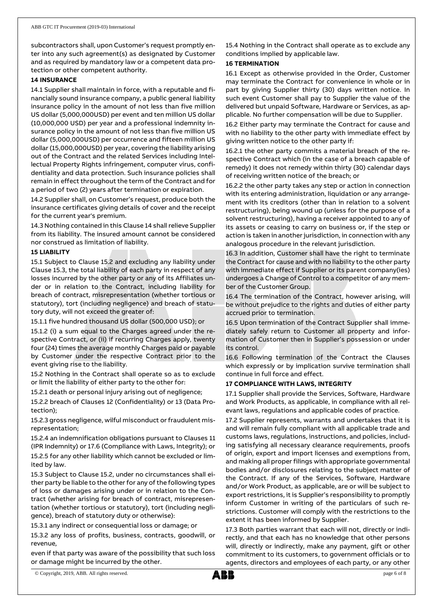subcontractors shall, upon Customer's request promptly enter into any such agreement(s) as designated by Customer and as required by mandatory law or a competent data protection or other competent authority.

## **14 INSURANCE**

14.1 Supplier shall maintain in force, with a reputable and financially sound insurance company, a public general liability insurance policy in the amount of not less than five million US dollar (5,000,000USD) per event and ten million US dollar (10,000,000 USD) per year and a professional indemnity insurance policy in the amount of not less than five million US dollar (5,000,000USD) per occurrence and fifteen million US dollar (15,000,000USD) per year, covering the liability arising out of the Contract and the related Services including Intellectual Property Rights infringement, computer virus, confidentiality and data protection. Such insurance policies shall remain in effect throughout the term of the Contract and for a period of two (2) years after termination or expiration.

14.2 Supplier shall, on Customer's request, produce both the insurance certificates giving details of cover and the receipt for the current year's premium.

14.3 Nothing contained in this Clause 14 shall relieve Supplier from its liability. The insured amount cannot be considered nor construed as limitation of liability.

### **15 LIABILITY**

15.1 Subject to Clause 15.2 and excluding any liability under Clause 15.3, the total liability of each party in respect of any losses incurred by the other party or any of its Affiliates under or in relation to the Contract, including liability for breach of contract, misrepresentation (whether tortious or statutory), tort (including negligence) and breach of statutory duty, will not exceed the greater of:

15.1.1 five hundred thousand US dollar (500,000 USD); or

15.1.2 (i) a sum equal to the Charges agreed under the respective Contract, or (ii) if recurring Charges apply, twenty four (24) times the average monthly Charges paid or payable by Customer under the respective Contract prior to the event giving rise to the liability.

15.2 Nothing in the Contract shall operate so as to exclude or limit the liability of either party to the other for:

15.2.1 death or personal injury arising out of negligence;

15.2.2 breach of Clauses 12 (Confidentiality) or 13 (Data Protection);

15.2.3 gross negligence, wilful misconduct or fraudulent misrepresentation;

15.2.4 an indemnification obligations pursuant to Clauses 11 (IPR Indemnity) or 17.6 (Compliance with Laws, Integrity); or 15.2.5 for any other liability which cannot be excluded or lim-

ited by law. 15.3 Subject to Clause 15.2, under no circumstances shall either party be liable to the other for any of the following types of loss or damages arising under or in relation to the Contract (whether arising for breach of contract, misrepresentation (whether tortious or statutory), tort (including negligence), breach of statutory duty or otherwise):

15.3.1 any indirect or consequential loss or damage; or

15.3.2 any loss of profits, business, contracts, goodwill, or revenue,

even if that party was aware of the possibility that such loss or damage might be incurred by the other.

15.4 Nothing in the Contract shall operate as to exclude any conditions implied by applicable law.

## **16 TERMINATION**

16.1 Except as otherwise provided in the Order, Customer may terminate the Contract for convenience in whole or in part by giving Supplier thirty (30) days written notice. In such event Customer shall pay to Supplier the value of the delivered but unpaid Software, Hardware or Services, as applicable. No further compensation will be due to Supplier.

16.2 Either party may terminate the Contract for cause and with no liability to the other party with immediate effect by giving written notice to the other party if:

16.2.1 the other party commits a material breach of the respective Contract which (in the case of a breach capable of remedy) it does not remedy within thirty (30) calendar days of receiving written notice of the breach; or

16.2.2 the other party takes any step or action in connection with its entering administration, liquidation or any arrangement with its creditors (other than in relation to a solvent restructuring), being wound up (unless for the purpose of a solvent restructuring), having a receiver appointed to any of its assets or ceasing to carry on business or, if the step or action is taken in another jurisdiction, in connection with any analogous procedure in the relevant jurisdiction.

16.3 In addition, Customer shall have the right to terminate the Contract for cause and with no liability to the other party with immediate effect if Supplier or its parent company(ies) undergoes a Change of Control to a competitor of any member of the Customer Group.

16.4 The termination of the Contract, however arising, will be without prejudice to the rights and duties of either party accrued prior to termination.

16.5 Upon termination of the Contract Supplier shall immediately safely return to Customer all property and information of Customer then in Supplier's possession or under its control.

16.6 Following termination of the Contract the Clauses which expressly or by implication survive termination shall continue in full force and effect.

## **17 COMPLIANCE WITH LAWS, INTEGRITY**

17.1 Supplier shall provide the Services, Software, Hardware and Work Products, as applicable, in compliance with all relevant laws, regulations and applicable codes of practice.

17.2 Supplier represents, warrants and undertakes that it is and will remain fully compliant with all applicable trade and customs laws, regulations, instructions, and policies, including satisfying all necessary clearance requirements, proofs of origin, export and import licenses and exemptions from, and making all proper filings with appropriate governmental bodies and/or disclosures relating to the subject matter of the Contract. If any of the Services, Software, Hardware and/or Work Product, as applicable, are or will be subject to export restrictions, it is Supplier's responsibility to promptly inform Customer in writing of the particulars of such restrictions. Customer will comply with the restrictions to the extent it has been informed by Supplier.

17.3 Both parties warrant that each will not, directly or indirectly, and that each has no knowledge that other persons will, directly or indirectly, make any payment, gift or other commitment to its customers, to government officials or to agents, directors and employees of each party, or any other

© Copyright, 2019, ABB. All rights reserved. page 6 of 8

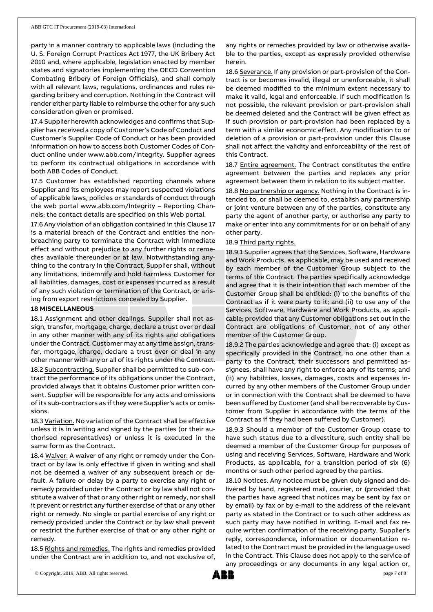party in a manner contrary to applicable laws (including the U. S. Foreign Corrupt Practices Act 1977, the UK Bribery Act 2010 and, where applicable, legislation enacted by member states and signatories implementing the OECD Convention Combating Bribery of Foreign Officials), and shall comply with all relevant laws, regulations, ordinances and rules regarding bribery and corruption. Nothing in the Contract will render either party liable to reimburse the other for any such consideration given or promised.

17.4 Supplier herewith acknowledges and confirms that Supplier has received a copy of Customer's Code of Conduct and Customer's Supplier Code of Conduct or has been provided information on how to access both Customer Codes of Conduct online under www.abb.com/Integrity. Supplier agrees to perform its contractual obligations in accordance with both ABB Codes of Conduct.

17.5 Customer has established reporting channels where Supplier and its employees may report suspected violations of applicable laws, policies or standards of conduct through the web portal www.abb.com/Integrity – Reporting Channels; the contact details are specified on this Web portal.

17.6 Any violation of an obligation contained in this Clause 17 is a material breach of the Contract and entitles the nonbreaching party to terminate the Contract with immediate effect and without prejudice to any further rights or remedies available thereunder or at law. Notwithstanding anything to the contrary in the Contract, Supplier shall, without any limitations, indemnify and hold harmless Customer for all liabilities, damages, cost or expenses incurred as a result of any such violation or termination of the Contract, or arising from export restrictions concealed by Supplier.

#### **18 MISCELLANEOUS**

18.1 Assignment and other dealings. Supplier shall not assign, transfer, mortgage, charge, declare a trust over or deal in any other manner with any of its rights and obligations under the Contract. Customer may at any time assign, transfer, mortgage, charge, declare a trust over or deal in any other manner with any or all of its rights under the Contract. 18.2 Subcontracting. Supplier shall be permitted to sub-contract the performance of its obligations under the Contract, provided always that it obtains Customer prior written consent. Supplier will be responsible for any acts and omissions of its sub-contractors as if they were Supplier's acts or omissions.

18.3 Variation. No variation of the Contract shall be effective unless it is in writing and signed by the parties (or their authorised representatives) or unless it is executed in the same form as the Contract.

18.4 Waiver. A waiver of any right or remedy under the Contract or by law is only effective if given in writing and shall not be deemed a waiver of any subsequent breach or default. A failure or delay by a party to exercise any right or remedy provided under the Contract or by law shall not constitute a waiver of that or any other right or remedy, nor shall it prevent or restrict any further exercise of that or any other right or remedy. No single or partial exercise of any right or remedy provided under the Contract or by law shall prevent or restrict the further exercise of that or any other right or remedy.

18.5 Rights and remedies. The rights and remedies provided under the Contract are in addition to, and not exclusive of,

any rights or remedies provided by law or otherwise available to the parties, except as expressly provided otherwise herein.

18.6 Severance. If any provision or part-provision of the Contract is or becomes invalid, illegal or unenforceable, it shall be deemed modified to the minimum extent necessary to make it valid, legal and enforceable. If such modification is not possible, the relevant provision or part-provision shall be deemed deleted and the Contract will be given effect as if such provision or part-provision had been replaced by a term with a similar economic effect. Any modification to or deletion of a provision or part-provision under this Clause shall not affect the validity and enforceability of the rest of this Contract.

18.7 Entire agreement. The Contract constitutes the entire agreement between the parties and replaces any prior agreement between them in relation to its subject matter.

18.8 No partnership or agency. Nothing in the Contract is intended to, or shall be deemed to, establish any partnership or joint venture between any of the parties, constitute any party the agent of another party, or authorise any party to make or enter into any commitments for or on behalf of any other party.

### 18.9 Third party rights.

18.9.1 Supplier agrees that the Services, Software, Hardware and Work Products, as applicable, may be used and received by each member of the Customer Group subject to the terms of the Contract. The parties specifically acknowledge and agree that it is their intention that each member of the Customer Group shall be entitled: (i) to the benefits of the Contract as if it were party to it; and (ii) to use any of the Services, Software, Hardware and Work Products, as applicable; provided that any Customer obligations set out in the Contract are obligations of Customer, not of any other member of the Customer Group.

18.9.2 The parties acknowledge and agree that: (i) except as specifically provided in the Contract, no one other than a party to the Contract, their successors and permitted assignees, shall have any right to enforce any of its terms; and (ii) any liabilities, losses, damages, costs and expenses incurred by any other members of the Customer Group under or in connection with the Contract shall be deemed to have been suffered by Customer (and shall be recoverable by Customer from Supplier in accordance with the terms of the Contract as if they had been suffered by Customer).

18.9.3 Should a member of the Customer Group cease to have such status due to a divestiture, such entity shall be deemed a member of the Customer Group for purposes of using and receiving Services, Software, Hardware and Work Products, as applicable, for a transition period of six (6) months or such other period agreed by the parties.

18.10 Notices. Any notice must be given duly signed and delivered by hand, registered mail, courier, or (provided that the parties have agreed that notices may be sent by fax or by email) by fax or by e-mail to the address of the relevant party as stated in the Contract or to such other address as such party may have notified in writing. E-mail and fax require written confirmation of the receiving party. Supplier's reply, correspondence, information or documentation related to the Contract must be provided in the language used in the Contract. This Clause does not apply to the service of any proceedings or any documents in any legal action or,